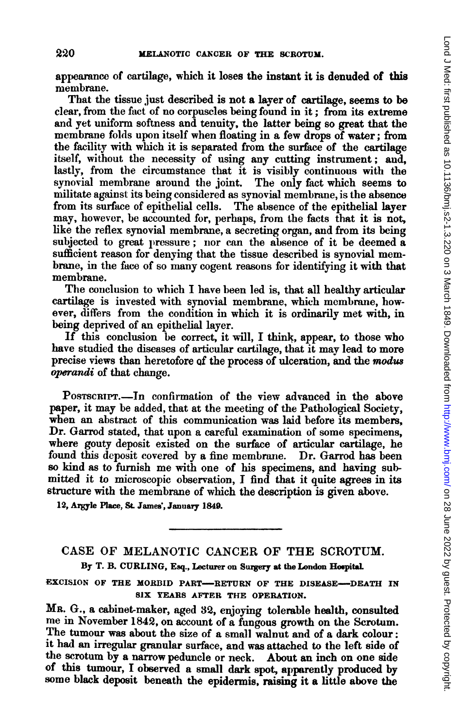appearance of cartilage, which it loses the instant it is denuded of this membrane.

That the tissue just described is not a layer of cartilage, seems to be clear, from the fact of no corpuscles being found in it; from its extreme and yet uniform softness and tenuity, the latter being so great that the membrane folds upon itself when floating in a few drops of water; from the facility with which it is separated from the surface of the cartilage itself, without the necessity of using any cutting instrument; and, lastly, from the circumstance that it is visibly continuous with the synovial membrane around the joint. The only fact which seems to militate against its being considered as synovial memblrane, is the absence from its surface of epithelial cells. The absence of the epithelial layer may, however, be accounted for, perhaps, from the facts that it is not, like the reflex synovial membrane, a secreting organ, and from its being subjected to great pressure; nor can the absence of it be deemed a sufficient reason for denying that the tissue described is synovial membrane, in the face of so many cogent reasons for identifying it with that membrane.

The conclusion to which I have been led is, that all healthy articular cartilage is invested with synovial membrane, which membrane, however, differs from the condition in which it is ordinarily met with, in being deprived of an epithelial layer.

If this conclusion be correct, it will, I think, appear, to those who have studied the diseases of articular cartilage, that it may lead to more precise views than heretofore Qf the process of ulceration, and the modus operandi of that change.

POSTSCRIPT.—In confirmation of the view advanced in the above paper, it may be added, that at the meeting of the Pathological Society, when an abstract of this communication was laid before its members, Dr. Garrod stated, that upon a careful examination of some specimens, where gouty deposit existed on the surface of articular cartilage, he found this deposit covered by a fine membrane. Dr. Garrod has been so kind as to furnish me with one of his specimens, and having submitted it to microscopic observation, I find that it quite agrees in its structure with the membrane of which the desenption is given above.

12, Argyle Place, St. James', January 1849.

CASE OF MELANOTIC CANCER OF THE SCROTUM. By T. B. CURLING, Esq., Lecturer on Surgery at the London Hospital.

EXCISION OF THE MORBID PART-RETURN OF THE DISEASE-DEATH IN SIX YEARS AFTER THE OPERATION.

MR. G., a cabinet-maker, aged 32, enjoying tolerable health, consulted me in November 1842, on account of <sup>a</sup> fungous growth on the Scrotum. The tumour was about the size of a small walnut and of a dark colour: it had an irregular granular surface, and was attached to the left side of the scrotum by a narrow peduncle or neck. About an inch on one side of this tumour, <sup>I</sup> observed a small dark spot, apparently produced by some black deposit beneath the epidermis, raising it a little above the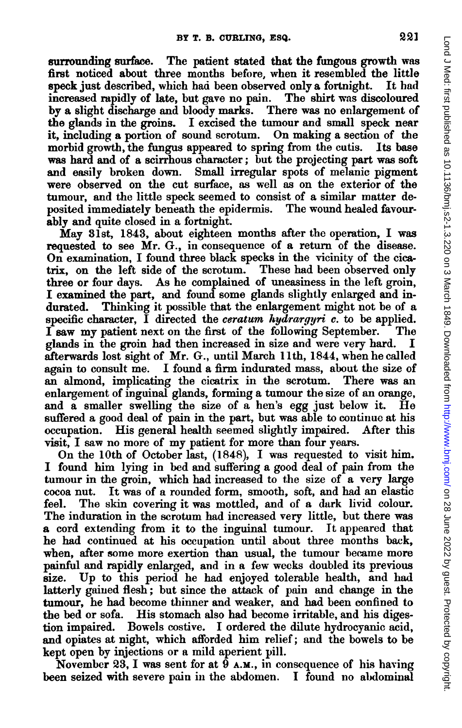surrounding surface. The patient stated that the fungous growth was first noticed about three months before, when it resembled the little speck just described, which had been observed only a fortnight. It had increased rapidly of late, but gave no pain. The shirt was discoloured by a slight discharge and bloody marks. There was no enlargement of the glands in the groins. I excised the tumour and small speck near it, including a portion of sound scrotum. On making a section of the morbid growth, the fungus appeared to spring from the cutis. Its base was hard and of a scirrhous character; but the projecting part was soft and easily broken down. Small irregular spots of melanic pigment Small irregular spots of melanic pigment were observed on the cut surface, as well as on the exterior of the tumour, and the little speck seemed to consist of a similar matter deposited immediately beneath the epidermis. The wound healed favourably and quite closed in a fortnight.

May 31st, 1843, about eighteen months after the operation, <sup>I</sup> was requested to see Mr. G., in consequence of a return of the disease. On examination, <sup>I</sup> found three black specks in the vicinity of the cicatrix, on the left side of the scrotum. These had been observed only three or four days. As he complained of uneasiness in the left groin, I examined the part, and found some glands slightly enlarged and indurated. Thinking it possible that the enlargement might not be of a specific character, I directed the *ceratum hydrargyri*  $c$ , to be applied. <sup>I</sup> saw my patient next on the first of the following September. The glands in the groin had then increased in size and were very hard. I afterwards lost sight of Mr. G., until March 1th, 1844, when he called again to consult me. I found a firm indurated mass, about the size of an almond, implicating the cicatrix in the scrotum. There was an enlargement of inguinal glands, forming a tumour the size of an orange, and <sup>a</sup> smaller swelling the size of a hen's egg just below it. He suffered a good deal of pain in the part, but was able to continue at his occupation. His general health seemed slightly impaired. After this visit, <sup>I</sup> saw no more of my patient for more than four years.

On the 10th of October last, (1848), <sup>I</sup> was requested to visit him. I found him lying in bed and suffering a good deal of pain from the tumour in the groin, which had increased to the size of a very large cocoa nut. It was of a rounded form, smooth, soft, and had an elastic feel. The skin covering it was mottled, and of a dark livid colour. The induration in the scrotum had increased very little, but there was a cord extending from it to the inguinal tumour. It appeared that a cord extending from it to the inguinal tumour. he had continued at his occupation until about three months back, when, after some more exertion than usual, the tumour became more painful and rapidly enlarged, and in a few weeks doubled its previous size. Up to this period he had enjoyed tolerable health, and had latterly gained flesh; but since the attack of pain and change in the tumour, he had become thinner and weaker, and had been confined to the bed or sofa. His stomach also had become irritable, and his digestion impaired. Bowels costive. I ordered the dilute hydrocyanic acid, and opiates at night, which afforded him relief; and the bowels to be kept open by injections or a mild aperient pill.

November 23, I was sent for at 9 A.M., in consequence of his having been seized with severe pain in the abdomen. I found no albdominal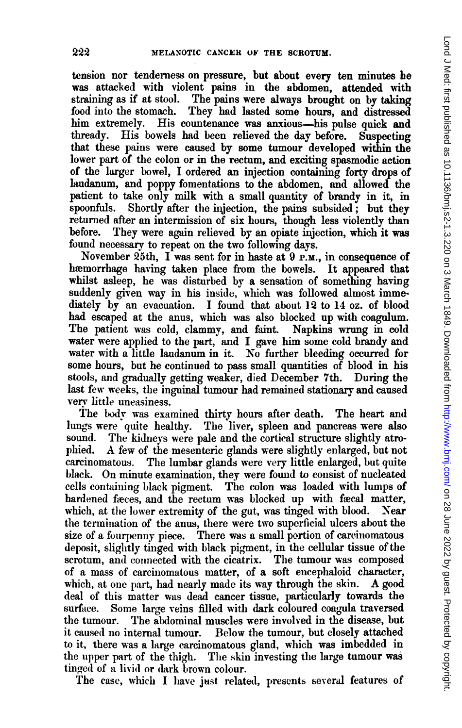tension nor tenderness on pressure, but about every ten minutes he was attacked with violent pains in the abdomen, attended with straining as if at stool. The pains were always brought on by taking food into the stomach. They had lasted some hours, and distressed They had lasted some hours, and distressed him extremely. His countenance was anxious-his pulse quick and thready. HIis bowels had been relieved the day before. Suspecting that these pains were caused by some tumour developed within the lower part of the colon or in the rectum, and exciting spasmodic action of the larger bowel, I ordered an injection containing forty drops of laudanum, and poppy fomentations to the abdomen, and allowed the patient to take only milk with a small quantity of brandy in it, in spoonfuls. Shortly after the injection, the pains subsided; but they returned after an intermission of six hours, though less violently than before. They were again relieved by an opiate injection, which it was found necessary to repeat on the two following days.

November 25th, I was sent for in haste at 9 P.m., in consequence of hæmorrhage having taken place from the bowels. It appeared that whilst asleep, he was disturbed by a sensation of something having suddenly given way in his inside, which was followed almost immediately by an evacuation. I found that about 12 to 14 oz. of blood had escaped at the anus, which was also blocked up with coagulum. The patient was cold, clammv, and faint. Napkins wrung in cold water were applied to the part, and I gave him some cold brandy and water with a little laudanum in it. No further bleeding occurred for some hours, but he continued to pass small quantities of blood in his stools, and gradually getting weaker, died December 7th. During the last few weeks, the inguinal tumour had remained stationary and caused very little uneasiness.

The body was examined thirty hours after death. The heart and lungs were quite healthy. The liver, spleen and pancreas were also sound. The kidneys were pale and the cortical structure slightly atrophied. A few of the mesenteric glands were slightly enlarged, but not carcinomatous. The lumbar glands were very little enlarged, but quite black. On minute examination, they were found to consist of nucleated cells containing black pigment. The colon was loaded with lumps of hardened fæces, and the rectum was blocked up with fæcal matter, which, at the lower extremity of the gut, was tinged with blood. Near the termination of the anus, there were two superficial ulcers about the size of a fourpenny piece. There was a small portion of carcinomatous deposit, slightly tinged with black pigment, in the cellular tissue of the scrotum, and connected with the cicatrix. The tumour was composed of a mass of carcinomatous matter, of a soft encephaloid character, which, at one part, had nearly made its way through the skin. A good deal of this matter was dead cancer tissue, particularly towards the surface. Some large veins filled with dark coloured coagula traversed<br>the tumour. The abdominal muscles were involved in the disease, but The abdominal muscles were involved in the disease, but it caused no internal tumour. Below the tumour, but closely attached to it, there was a large carcinomatous gland, which was imbedded in the upper part of the thigh. The skin investing the large tumour was tinged of a livid or dark brown colour.

The case, which I have just related, presents several features of